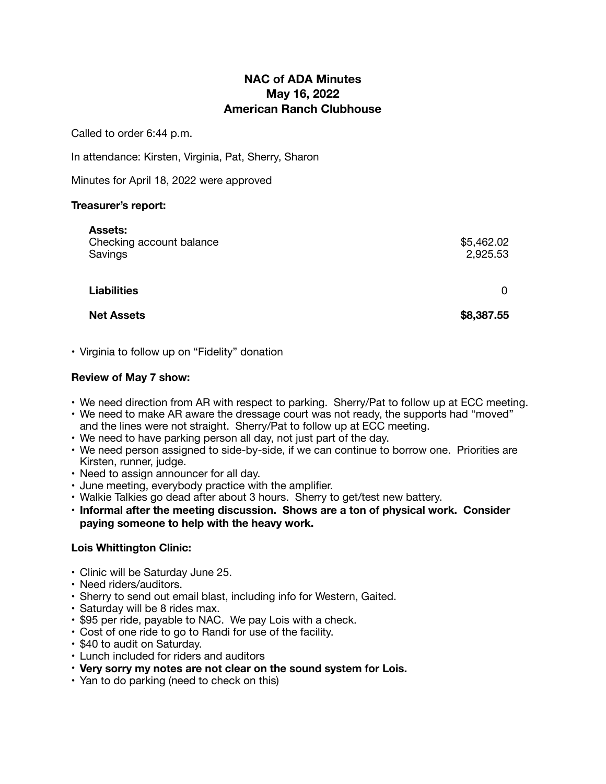# **NAC of ADA Minutes May 16, 2022 American Ranch Clubhouse**

Called to order 6:44 p.m.

In attendance: Kirsten, Virginia, Pat, Sherry, Sharon

Minutes for April 18, 2022 were approved

#### **Treasurer's report:**

| <b>Assets:</b><br>Checking account balance<br>Savings | \$5,462.02<br>2,925.53 |
|-------------------------------------------------------|------------------------|
| <b>Liabilities</b>                                    | 0                      |

**Net Assets \$8,387.55** 

• Virginia to follow up on "Fidelity" donation

#### **Review of May 7 show:**

- We need direction from AR with respect to parking. Sherry/Pat to follow up at ECC meeting.
- We need to make AR aware the dressage court was not ready, the supports had "moved" and the lines were not straight. Sherry/Pat to follow up at ECC meeting.
- We need to have parking person all day, not just part of the day.
- We need person assigned to side-by-side, if we can continue to borrow one. Priorities are Kirsten, runner, judge.
- Need to assign announcer for all day.
- June meeting, everybody practice with the amplifier.
- Walkie Talkies go dead after about 3 hours. Sherry to get/test new battery.
- **• Informal after the meeting discussion. Shows are a ton of physical work. Consider paying someone to help with the heavy work.**

## **Lois Whittington Clinic:**

- Clinic will be Saturday June 25.
- Need riders/auditors.
- Sherry to send out email blast, including info for Western, Gaited.
- Saturday will be 8 rides max.
- \$95 per ride, payable to NAC. We pay Lois with a check.
- Cost of one ride to go to Randi for use of the facility.
- \$40 to audit on Saturday.
- Lunch included for riders and auditors
- **Very sorry my notes are not clear on the sound system for Lois.**
- Yan to do parking (need to check on this)